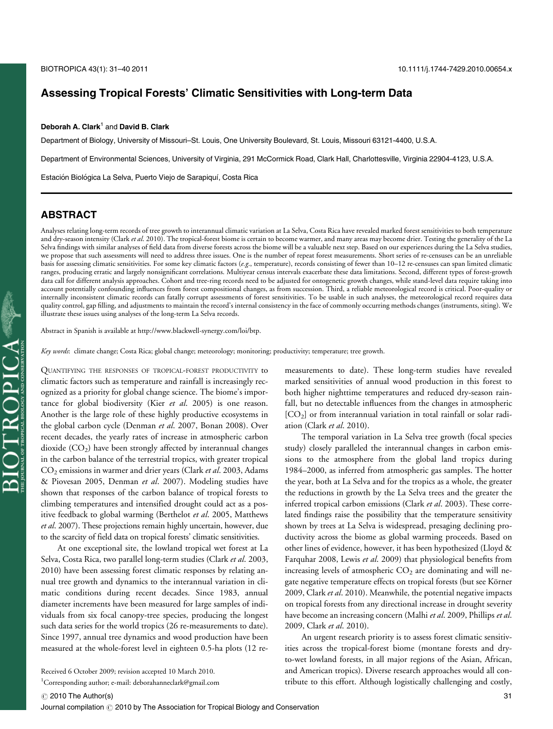# Assessing Tropical Forests' Climatic Sensitivities with Long-term Data

#### Deborah A. Clark<sup>1</sup> and David B. Clark

Department of Biology, University of Missouri–St. Louis, One University Boulevard, St. Louis, Missouri 63121-4400, U.S.A.

Department of Environmental Sciences, University of Virginia, 291 McCormick Road, Clark Hall, Charlottesville, Virginia 22904-4123, U.S.A.

Estación Biológica La Selva, Puerto Viejo de Sarapiquí, Costa Rica

# ABSTRACT

Analyses relating long-term records of tree growth to interannual climatic variation at La Selva, Costa Rica have revealed marked forest sensitivities to both temperature and dry-season intensity (Clark et al. 2010). The tropical-forest biome is certain to become warmer, and many areas may become drier. Testing the generality of the La Selva findings with similar analyses of field data from diverse forests across the biome will be a valuable next step. Based on our experiences during the La Selva studies, we propose that such assessments will need to address three issues. One is the number of repeat forest measurements. Short series of re-censuses can be an unreliable basis for assessing climatic sensitivities. For some key climatic factors (e.g., temperature), records consisting of fewer than 10–12 re-censuses can span limited climatic ranges, producing erratic and largely nonsignificant correlations. Multiyear census intervals exacerbate these data limitations. Second, different types of forest-growth data call for different analysis approaches. Cohort and tree-ring records need to be adjusted for ontogenetic growth changes, while stand-level data require taking into account potentially confounding influences from forest compositional changes, as from succession. Third, a reliable meteorological record is critical. Poor-quality or internally inconsistent climatic records can fatally corrupt assessments of forest sensitivities. To be usable in such analyses, the meteorological record requires data quality control, gap filling, and adjustments to maintain the record's internal consistency in the face of commonly occurring methods changes (instruments, siting). We illustrate these issues using analyses of the long-term La Selva records.

Abstract in Spanish is available at<http://www.blackwell-synergy.com/loi/btp>.

Key words: climate change; Costa Rica; global change; meteorology; monitoring; productivity; temperature; tree growth.

QUANTIFYING THE RESPONSES OF TROPICAL-FOREST PRODUCTIVITY to climatic factors such as temperature and rainfall is increasingly recognized as a priority for global change science. The biome's importance for global biodiversity (Kier et al. 2005) is one reason. Another is the large role of these highly productive ecosystems in the global carbon cycle (Denman et al. 2007, Bonan 2008). Over recent decades, the yearly rates of increase in atmospheric carbon dioxide  $(CO_2)$  have been strongly affected by interannual changes in the carbon balance of the terrestrial tropics, with greater tropical CO2 emissions in warmer and drier years (Clark et al. 2003, Adams & Piovesan 2005, Denman et al. 2007). Modeling studies have shown that responses of the carbon balance of tropical forests to climbing temperatures and intensified drought could act as a positive feedback to global warming (Berthelot et al. 2005, Matthews et al. 2007). These projections remain highly uncertain, however, due to the scarcity of field data on tropical forests' climatic sensitivities.

At one exceptional site, the lowland tropical wet forest at La Selva, Costa Rica, two parallel long-term studies (Clark et al. 2003, 2010) have been assessing forest climatic responses by relating annual tree growth and dynamics to the interannual variation in climatic conditions during recent decades. Since 1983, annual diameter increments have been measured for large samples of individuals from six focal canopy-tree species, producing the longest such data series for the world tropics (26 re-measurements to date). Since 1997, annual tree dynamics and wood production have been measured at the whole-forest level in eighteen 0.5-ha plots (12 re-

Received 6 October 2009; revision accepted 10 March 2010.

measurements to date). These long-term studies have revealed marked sensitivities of annual wood production in this forest to both higher nighttime temperatures and reduced dry-season rainfall, but no detectable influences from the changes in atmospheric  $[CO<sub>2</sub>]$  or from interannual variation in total rainfall or solar radiation (Clark et al. 2010).

The temporal variation in La Selva tree growth (focal species study) closely paralleled the interannual changes in carbon emissions to the atmosphere from the global land tropics during 1984–2000, as inferred from atmospheric gas samples. The hotter the year, both at La Selva and for the tropics as a whole, the greater the reductions in growth by the La Selva trees and the greater the inferred tropical carbon emissions (Clark et al. 2003). These correlated findings raise the possibility that the temperature sensitivity shown by trees at La Selva is widespread, presaging declining productivity across the biome as global warming proceeds. Based on other lines of evidence, however, it has been hypothesized (Lloyd & Farquhar 2008, Lewis et al. 2009) that physiological benefits from increasing levels of atmospheric  $CO<sub>2</sub>$  are dominating and will negate negative temperature effects on tropical forests (but see Körner 2009, Clark et al. 2010). Meanwhile, the potential negative impacts on tropical forests from any directional increase in drought severity have become an increasing concern (Malhi et al. 2009, Phillips et al. 2009, Clark et al. 2010).

An urgent research priority is to assess forest climatic sensitivities across the tropical-forest biome (montane forests and dryto-wet lowland forests, in all major regions of the Asian, African, and American tropics). Diverse research approaches would all contribute to this effort. Although logistically challenging and costly,

<sup>1</sup> Corresponding author; e-mail: [deborahanneclark@gmail.com](mailto:deborahanneclark@gmail.com)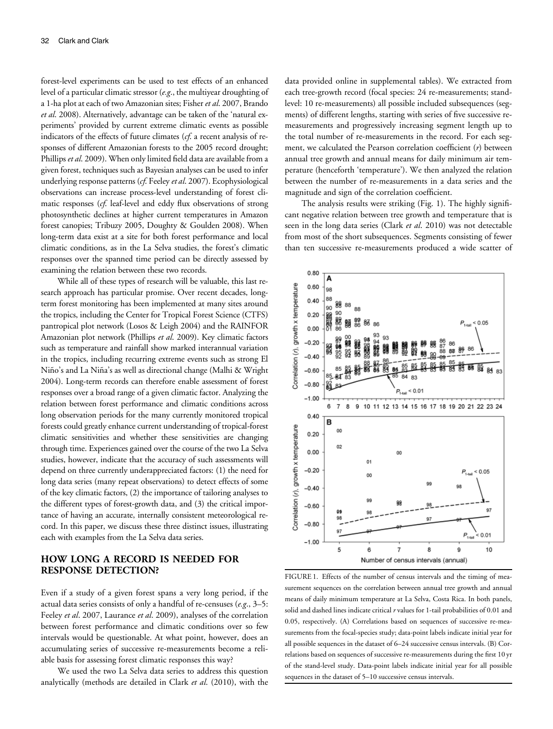forest-level experiments can be used to test effects of an enhanced level of a particular climatic stressor (e.g., the multiyear droughting of a 1-ha plot at each of two Amazonian sites; Fisher et al. 2007, Brando et al. 2008). Alternatively, advantage can be taken of the 'natural experiments' provided by current extreme climatic events as possible indicators of the effects of future climates  $(cf.$  a recent analysis of responses of different Amazonian forests to the 2005 record drought; Phillips et al. 2009). When only limited field data are available from a given forest, techniques such as Bayesian analyses can be used to infer underlying response patterns (cf. Feeley et al. 2007). Ecophysiological observations can increase process-level understanding of forest climatic responses (cf. leaf-level and eddy flux observations of strong photosynthetic declines at higher current temperatures in Amazon forest canopies; Tribuzy 2005, Doughty & Goulden 2008). When long-term data exist at a site for both forest performance and local climatic conditions, as in the La Selva studies, the forest's climatic responses over the spanned time period can be directly assessed by examining the relation between these two records.

While all of these types of research will be valuable, this last research approach has particular promise. Over recent decades, longterm forest monitoring has been implemented at many sites around the tropics, including the Center for Tropical Forest Science (CTFS) pantropical plot network (Losos & Leigh 2004) and the RAINFOR Amazonian plot network (Phillips et al. 2009). Key climatic factors such as temperature and rainfall show marked interannual variation in the tropics, including recurring extreme events such as strong El Niño's and La Niña's as well as directional change (Malhi & Wright 2004). Long-term records can therefore enable assessment of forest responses over a broad range of a given climatic factor. Analyzing the relation between forest performance and climatic conditions across long observation periods for the many currently monitored tropical forests could greatly enhance current understanding of tropical-forest climatic sensitivities and whether these sensitivities are changing through time. Experiences gained over the course of the two La Selva studies, however, indicate that the accuracy of such assessments will depend on three currently underappreciated factors: (1) the need for long data series (many repeat observations) to detect effects of some of the key climatic factors, (2) the importance of tailoring analyses to the different types of forest-growth data, and (3) the critical importance of having an accurate, internally consistent meteorological record. In this paper, we discuss these three distinct issues, illustrating each with examples from the La Selva data series.

## HOW LONG A RECORD IS NEEDED FOR RESPONSE DETECTION?

Even if a study of a given forest spans a very long period, if the actual data series consists of only a handful of re-censuses (e.g.,  $3-5$ : Feeley et al. 2007, Laurance et al. 2009), analyses of the correlation between forest performance and climatic conditions over so few intervals would be questionable. At what point, however, does an accumulating series of successive re-measurements become a reliable basis for assessing forest climatic responses this way?

We used the two La Selva data series to address this question analytically (methods are detailed in Clark et al. (2010), with the

data provided online in supplemental tables). We extracted from each tree-growth record (focal species: 24 re-measurements; standlevel: 10 re-measurements) all possible included subsequences (segments) of different lengths, starting with series of five successive remeasurements and progressively increasing segment length up to the total number of re-measurements in the record. For each segment, we calculated the Pearson correlation coefficient  $(r)$  between annual tree growth and annual means for daily minimum air temperature (henceforth 'temperature'). We then analyzed the relation between the number of re-measurements in a data series and the magnitude and sign of the correlation coefficient.

The analysis results were striking (Fig. 1). The highly significant negative relation between tree growth and temperature that is seen in the long data series (Clark *et al.* 2010) was not detectable from most of the short subsequences. Segments consisting of fewer than ten successive re-measurements produced a wide scatter of



FIGURE 1. Effects of the number of census intervals and the timing of measurement sequences on the correlation between annual tree growth and annual means of daily minimum temperature at La Selva, Costa Rica. In both panels, solid and dashed lines indicate critical  $r$  values for 1-tail probabilities of 0.01 and 0.05, respectively. (A) Correlations based on sequences of successive re-measurements from the focal-species study; data-point labels indicate initial year for all possible sequences in the dataset of 6–24 successive census intervals. (B) Correlations based on sequences of successive re-measurements during the first 10 yr of the stand-level study. Data-point labels indicate initial year for all possible sequences in the dataset of 5–10 successive census intervals.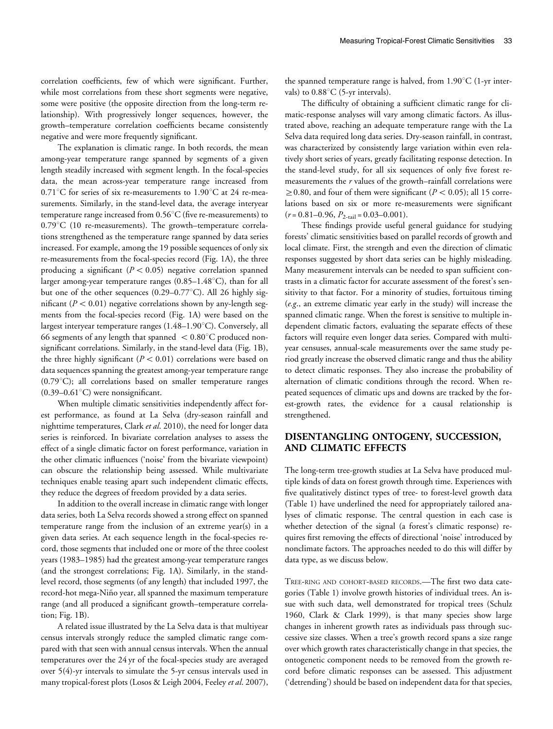correlation coefficients, few of which were significant. Further, while most correlations from these short segments were negative, some were positive (the opposite direction from the long-term relationship). With progressively longer sequences, however, the growth–temperature correlation coefficients became consistently negative and were more frequently significant.

The explanation is climatic range. In both records, the mean among-year temperature range spanned by segments of a given length steadily increased with segment length. In the focal-species data, the mean across-year temperature range increased from  $0.71^{\circ}$ C for series of six re-measurements to  $1.90^{\circ}$ C at 24 re-measurements. Similarly, in the stand-level data, the average interyear temperature range increased from 0.56°C (five re-measurements) to  $0.79^{\circ}$ C (10 re-measurements). The growth–temperature correlations strengthened as the temperature range spanned by data series increased. For example, among the 19 possible sequences of only six re-measurements from the focal-species record (Fig. 1A), the three producing a significant ( $P < 0.05$ ) negative correlation spanned larger among-year temperature ranges  $(0.85-1.48^{\circ}C)$ , than for all but one of the other sequences (0.29-0.77 $^{\circ}$ C). All 26 highly significant ( $P < 0.01$ ) negative correlations shown by any-length segments from the focal-species record (Fig. 1A) were based on the largest interyear temperature ranges (1.48-1.90°C). Conversely, all 66 segments of any length that spanned  $\langle 0.80^{\circ}$ C produced nonsignificant correlations. Similarly, in the stand-level data (Fig. 1B), the three highly significant ( $P < 0.01$ ) correlations were based on data sequences spanning the greatest among-year temperature range  $(0.79^{\circ}C)$ ; all correlations based on smaller temperature ranges  $(0.39-0.61^{\circ}C)$  were nonsignificant.

When multiple climatic sensitivities independently affect forest performance, as found at La Selva (dry-season rainfall and nighttime temperatures, Clark et al. 2010), the need for longer data series is reinforced. In bivariate correlation analyses to assess the effect of a single climatic factor on forest performance, variation in the other climatic influences ('noise' from the bivariate viewpoint) can obscure the relationship being assessed. While multivariate techniques enable teasing apart such independent climatic effects, they reduce the degrees of freedom provided by a data series.

In addition to the overall increase in climatic range with longer data series, both La Selva records showed a strong effect on spanned temperature range from the inclusion of an extreme year(s) in a given data series. At each sequence length in the focal-species record, those segments that included one or more of the three coolest years (1983–1985) had the greatest among-year temperature ranges (and the strongest correlations; Fig. 1A). Similarly, in the standlevel record, those segments (of any length) that included 1997, the record-hot mega-Niño year, all spanned the maximum temperature range (and all produced a significant growth–temperature correlation; Fig. 1B).

A related issue illustrated by the La Selva data is that multiyear census intervals strongly reduce the sampled climatic range compared with that seen with annual census intervals. When the annual temperatures over the 24 yr of the focal-species study are averaged over 5(4)-yr intervals to simulate the 5-yr census intervals used in many tropical-forest plots (Losos & Leigh 2004, Feeley et al. 2007),

the spanned temperature range is halved, from  $1.90^{\circ}$ C (1-yr intervals) to  $0.88^{\circ}$ C (5-yr intervals).

The difficulty of obtaining a sufficient climatic range for climatic-response analyses will vary among climatic factors. As illustrated above, reaching an adequate temperature range with the La Selva data required long data series. Dry-season rainfall, in contrast, was characterized by consistently large variation within even relatively short series of years, greatly facilitating response detection. In the stand-level study, for all six sequences of only five forest remeasurements the  $r$  values of the growth–rainfall correlations were  $\geq$  0.80, and four of them were significant ( $P < 0.05$ ); all 15 correlations based on six or more re-measurements were significant  $(r = 0.81 - 0.96, P_{2-\text{tail}} = 0.03 - 0.001).$ 

These findings provide useful general guidance for studying forests' climatic sensitivities based on parallel records of growth and local climate. First, the strength and even the direction of climatic responses suggested by short data series can be highly misleading. Many measurement intervals can be needed to span sufficient contrasts in a climatic factor for accurate assessment of the forest's sensitivity to that factor. For a minority of studies, fortuitous timing (e.g., an extreme climatic year early in the study) will increase the spanned climatic range. When the forest is sensitive to multiple independent climatic factors, evaluating the separate effects of these factors will require even longer data series. Compared with multiyear censuses, annual-scale measurements over the same study period greatly increase the observed climatic range and thus the ability to detect climatic responses. They also increase the probability of alternation of climatic conditions through the record. When repeated sequences of climatic ups and downs are tracked by the forest-growth rates, the evidence for a causal relationship is strengthened.

#### DISENTANGLING ONTOGENY, SUCCESSION, AND CLIMATIC EFFECTS

The long-term tree-growth studies at La Selva have produced multiple kinds of data on forest growth through time. Experiences with five qualitatively distinct types of tree- to forest-level growth data (Table 1) have underlined the need for appropriately tailored analyses of climatic response. The central question in each case is whether detection of the signal (a forest's climatic response) requires first removing the effects of directional 'noise' introduced by nonclimate factors. The approaches needed to do this will differ by data type, as we discuss below.

TREE-RING AND COHORT-BASED RECORDS.—The first two data categories (Table 1) involve growth histories of individual trees. An issue with such data, well demonstrated for tropical trees (Schulz 1960, Clark & Clark 1999), is that many species show large changes in inherent growth rates as individuals pass through successive size classes. When a tree's growth record spans a size range over which growth rates characteristically change in that species, the ontogenetic component needs to be removed from the growth record before climatic responses can be assessed. This adjustment ('detrending') should be based on independent data for that species,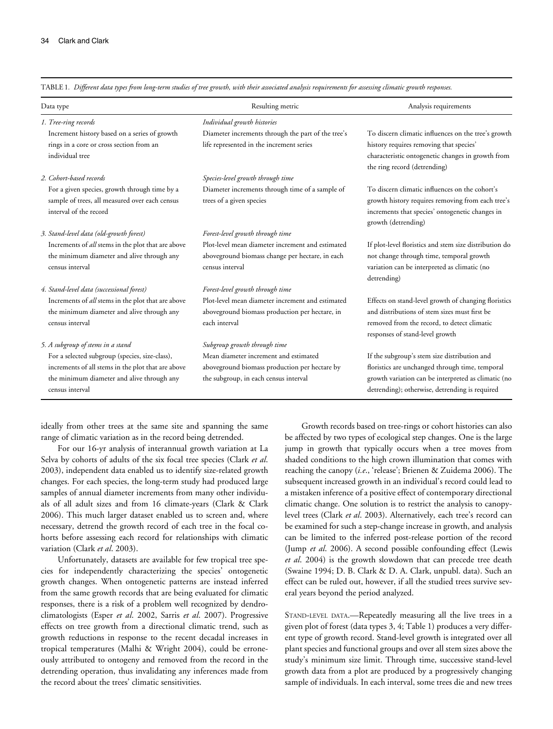| Data type                                                                                                                                                             | Resulting metric                                                                                                                | Analysis requirements                                                                                                                                                                                    |
|-----------------------------------------------------------------------------------------------------------------------------------------------------------------------|---------------------------------------------------------------------------------------------------------------------------------|----------------------------------------------------------------------------------------------------------------------------------------------------------------------------------------------------------|
| 1. Tree-ring records                                                                                                                                                  | Individual growth histories                                                                                                     |                                                                                                                                                                                                          |
| Increment history based on a series of growth<br>rings in a core or cross section from an<br>individual tree                                                          | Diameter increments through the part of the tree's<br>life represented in the increment series                                  | To discern climatic influences on the tree's growth<br>history requires removing that species'<br>characteristic ontogenetic changes in growth from<br>the ring record (detrending)                      |
| 2. Cohort-based records                                                                                                                                               | Species-level growth through time                                                                                               |                                                                                                                                                                                                          |
| For a given species, growth through time by a<br>sample of trees, all measured over each census<br>interval of the record                                             | Diameter increments through time of a sample of<br>trees of a given species                                                     | To discern climatic influences on the cohort's<br>growth history requires removing from each tree's<br>increments that species' ontogenetic changes in<br>growth (detrending)                            |
| 3. Stand-level data (old-growth forest)                                                                                                                               | Forest-level growth through time                                                                                                |                                                                                                                                                                                                          |
| Increments of all stems in the plot that are above<br>the minimum diameter and alive through any<br>census interval                                                   | Plot-level mean diameter increment and estimated<br>aboveground biomass change per hectare, in each<br>census interval          | If plot-level floristics and stem size distribution do<br>not change through time, temporal growth<br>variation can be interpreted as climatic (no<br>detrending)                                        |
| 4. Stand-level data (successional forest)                                                                                                                             | Forest-level growth through time                                                                                                |                                                                                                                                                                                                          |
| Increments of all stems in the plot that are above<br>the minimum diameter and alive through any<br>census interval                                                   | Plot-level mean diameter increment and estimated<br>aboveground biomass production per hectare, in<br>each interval             | Effects on stand-level growth of changing floristics<br>and distributions of stem sizes must first be<br>removed from the record, to detect climatic<br>responses of stand-level growth                  |
| 5. A subgroup of stems in a stand                                                                                                                                     | Subgroup growth through time                                                                                                    |                                                                                                                                                                                                          |
| For a selected subgroup (species, size-class),<br>increments of all stems in the plot that are above<br>the minimum diameter and alive through any<br>census interval | Mean diameter increment and estimated<br>aboveground biomass production per hectare by<br>the subgroup, in each census interval | If the subgroup's stem size distribution and<br>floristics are unchanged through time, temporal<br>growth variation can be interpreted as climatic (no<br>detrending); otherwise, detrending is required |

TABLE 1. Different data types from long-term studies of tree growth, with their associated analysis requirements for assessing climatic growth responses.

ideally from other trees at the same site and spanning the same range of climatic variation as in the record being detrended.

For our 16-yr analysis of interannual growth variation at La Selva by cohorts of adults of the six focal tree species (Clark et al. 2003), independent data enabled us to identify size-related growth changes. For each species, the long-term study had produced large samples of annual diameter increments from many other individuals of all adult sizes and from 16 climate-years (Clark & Clark 2006). This much larger dataset enabled us to screen and, where necessary, detrend the growth record of each tree in the focal cohorts before assessing each record for relationships with climatic variation (Clark et al. 2003).

Unfortunately, datasets are available for few tropical tree species for independently characterizing the species' ontogenetic growth changes. When ontogenetic patterns are instead inferred from the same growth records that are being evaluated for climatic responses, there is a risk of a problem well recognized by dendroclimatologists (Esper et al. 2002, Sarris et al. 2007). Progressive effects on tree growth from a directional climatic trend, such as growth reductions in response to the recent decadal increases in tropical temperatures (Malhi & Wright 2004), could be erroneously attributed to ontogeny and removed from the record in the detrending operation, thus invalidating any inferences made from the record about the trees' climatic sensitivities.

Growth records based on tree-rings or cohort histories can also be affected by two types of ecological step changes. One is the large jump in growth that typically occurs when a tree moves from shaded conditions to the high crown illumination that comes with reaching the canopy (i.e., 'release'; Brienen & Zuidema 2006). The subsequent increased growth in an individual's record could lead to a mistaken inference of a positive effect of contemporary directional climatic change. One solution is to restrict the analysis to canopylevel trees (Clark et al. 2003). Alternatively, each tree's record can be examined for such a step-change increase in growth, and analysis can be limited to the inferred post-release portion of the record (Jump et al. 2006). A second possible confounding effect (Lewis et al. 2004) is the growth slowdown that can precede tree death (Swaine 1994; D. B. Clark & D. A. Clark, unpubl. data). Such an effect can be ruled out, however, if all the studied trees survive several years beyond the period analyzed.

STAND-LEVEL DATA.—Repeatedly measuring all the live trees in a given plot of forest (data types 3, 4; Table 1) produces a very different type of growth record. Stand-level growth is integrated over all plant species and functional groups and over all stem sizes above the study's minimum size limit. Through time, successive stand-level growth data from a plot are produced by a progressively changing sample of individuals. In each interval, some trees die and new trees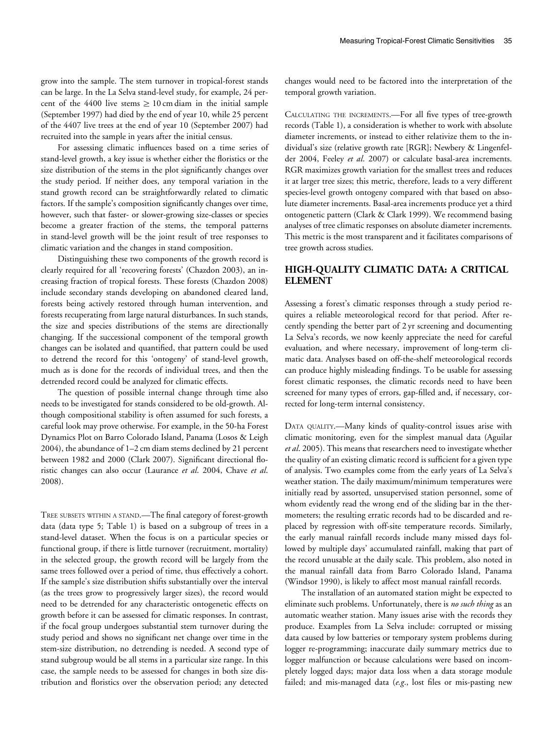grow into the sample. The stem turnover in tropical-forest stands can be large. In the La Selva stand-level study, for example, 24 percent of the 4400 live stems  $\geq 10$  cm diam in the initial sample (September 1997) had died by the end of year 10, while 25 percent of the 4407 live trees at the end of year 10 (September 2007) had recruited into the sample in years after the initial census.

For assessing climatic influences based on a time series of stand-level growth, a key issue is whether either the floristics or the size distribution of the stems in the plot significantly changes over the study period. If neither does, any temporal variation in the stand growth record can be straightforwardly related to climatic factors. If the sample's composition significantly changes over time, however, such that faster- or slower-growing size-classes or species become a greater fraction of the stems, the temporal patterns in stand-level growth will be the joint result of tree responses to climatic variation and the changes in stand composition.

Distinguishing these two components of the growth record is clearly required for all 'recovering forests' (Chazdon 2003), an increasing fraction of tropical forests. These forests (Chazdon 2008) include secondary stands developing on abandoned cleared land, forests being actively restored through human intervention, and forests recuperating from large natural disturbances. In such stands, the size and species distributions of the stems are directionally changing. If the successional component of the temporal growth changes can be isolated and quantified, that pattern could be used to detrend the record for this 'ontogeny' of stand-level growth, much as is done for the records of individual trees, and then the detrended record could be analyzed for climatic effects.

The question of possible internal change through time also needs to be investigated for stands considered to be old-growth. Although compositional stability is often assumed for such forests, a careful look may prove otherwise. For example, in the 50-ha Forest Dynamics Plot on Barro Colorado Island, Panama (Losos & Leigh 2004), the abundance of 1–2 cm diam stems declined by 21 percent between 1982 and 2000 (Clark 2007). Significant directional floristic changes can also occur (Laurance et al. 2004, Chave et al. 2008).

TREE SUBSETS WITHIN A STAND.—The final category of forest-growth data (data type 5; Table 1) is based on a subgroup of trees in a stand-level dataset. When the focus is on a particular species or functional group, if there is little turnover (recruitment, mortality) in the selected group, the growth record will be largely from the same trees followed over a period of time, thus effectively a cohort. If the sample's size distribution shifts substantially over the interval (as the trees grow to progressively larger sizes), the record would need to be detrended for any characteristic ontogenetic effects on growth before it can be assessed for climatic responses. In contrast, if the focal group undergoes substantial stem turnover during the study period and shows no significant net change over time in the stem-size distribution, no detrending is needed. A second type of stand subgroup would be all stems in a particular size range. In this case, the sample needs to be assessed for changes in both size distribution and floristics over the observation period; any detected

changes would need to be factored into the interpretation of the temporal growth variation.

CALCULATING THE INCREMENTS.—For all five types of tree-growth records (Table 1), a consideration is whether to work with absolute diameter increments, or instead to either relativize them to the individual's size (relative growth rate [RGR]; Newbery & Lingenfelder 2004, Feeley et al. 2007) or calculate basal-area increments. RGR maximizes growth variation for the smallest trees and reduces it at larger tree sizes; this metric, therefore, leads to a very different species-level growth ontogeny compared with that based on absolute diameter increments. Basal-area increments produce yet a third ontogenetic pattern (Clark & Clark 1999). We recommend basing analyses of tree climatic responses on absolute diameter increments. This metric is the most transparent and it facilitates comparisons of tree growth across studies.

# HIGH-QUALITY CLIMATIC DATA: A CRITICAL ELEMENT

Assessing a forest's climatic responses through a study period requires a reliable meteorological record for that period. After recently spending the better part of 2 yr screening and documenting La Selva's records, we now keenly appreciate the need for careful evaluation, and where necessary, improvement of long-term climatic data. Analyses based on off-the-shelf meteorological records can produce highly misleading findings. To be usable for assessing forest climatic responses, the climatic records need to have been screened for many types of errors, gap-filled and, if necessary, corrected for long-term internal consistency.

DATA QUALITY.—Many kinds of quality-control issues arise with climatic monitoring, even for the simplest manual data (Aguilar et al. 2005). This means that researchers need to investigate whether the quality of an existing climatic record is sufficient for a given type of analysis. Two examples come from the early years of La Selva's weather station. The daily maximum/minimum temperatures were initially read by assorted, unsupervised station personnel, some of whom evidently read the wrong end of the sliding bar in the thermometers; the resulting erratic records had to be discarded and replaced by regression with off-site temperature records. Similarly, the early manual rainfall records include many missed days followed by multiple days' accumulated rainfall, making that part of the record unusable at the daily scale. This problem, also noted in the manual rainfall data from Barro Colorado Island, Panama (Windsor 1990), is likely to affect most manual rainfall records.

The installation of an automated station might be expected to eliminate such problems. Unfortunately, there is no such thing as an automatic weather station. Many issues arise with the records they produce. Examples from La Selva include: corrupted or missing data caused by low batteries or temporary system problems during logger re-programming; inaccurate daily summary metrics due to logger malfunction or because calculations were based on incompletely logged days; major data loss when a data storage module failed; and mis-managed data (e.g., lost files or mis-pasting new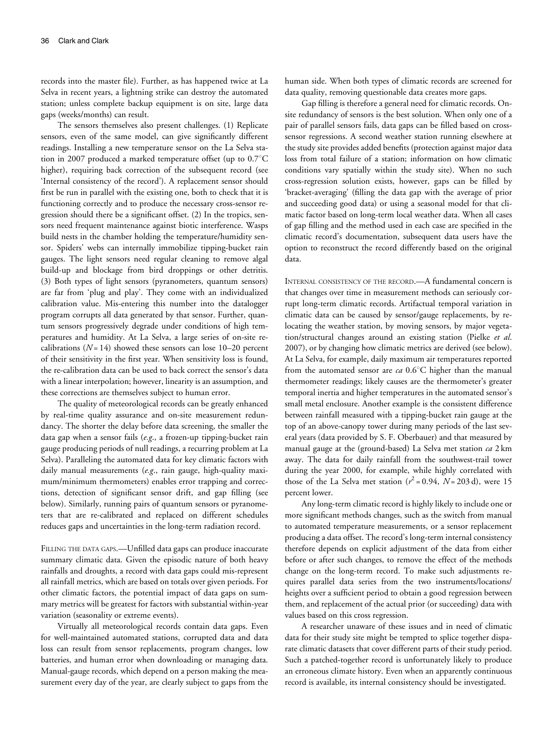records into the master file). Further, as has happened twice at La Selva in recent years, a lightning strike can destroy the automated station; unless complete backup equipment is on site, large data gaps (weeks/months) can result.

The sensors themselves also present challenges. (1) Replicate sensors, even of the same model, can give significantly different readings. Installing a new temperature sensor on the La Selva station in 2007 produced a marked temperature offset (up to  $0.7^{\circ}$ C higher), requiring back correction of the subsequent record (see 'Internal consistency of the record'). A replacement sensor should first be run in parallel with the existing one, both to check that it is functioning correctly and to produce the necessary cross-sensor regression should there be a significant offset. (2) In the tropics, sensors need frequent maintenance against biotic interference. Wasps build nests in the chamber holding the temperature/humidity sensor. Spiders' webs can internally immobilize tipping-bucket rain gauges. The light sensors need regular cleaning to remove algal build-up and blockage from bird droppings or other detritis. (3) Both types of light sensors (pyranometers, quantum sensors) are far from 'plug and play'. They come with an individualized calibration value. Mis-entering this number into the datalogger program corrupts all data generated by that sensor. Further, quantum sensors progressively degrade under conditions of high temperatures and humidity. At La Selva, a large series of on-site recalibrations ( $N = 14$ ) showed these sensors can lose 10–20 percent of their sensitivity in the first year. When sensitivity loss is found, the re-calibration data can be used to back correct the sensor's data with a linear interpolation; however, linearity is an assumption, and these corrections are themselves subject to human error.

The quality of meteorological records can be greatly enhanced by real-time quality assurance and on-site measurement redundancy. The shorter the delay before data screening, the smaller the data gap when a sensor fails (e.g., a frozen-up tipping-bucket rain gauge producing periods of null readings, a recurring problem at La Selva). Paralleling the automated data for key climatic factors with daily manual measurements (e.g., rain gauge, high-quality maximum/minimum thermometers) enables error trapping and corrections, detection of significant sensor drift, and gap filling (see below). Similarly, running pairs of quantum sensors or pyranometers that are re-calibrated and replaced on different schedules reduces gaps and uncertainties in the long-term radiation record.

FILLING THE DATA GAPS.—Unfilled data gaps can produce inaccurate summary climatic data. Given the episodic nature of both heavy rainfalls and droughts, a record with data gaps could mis-represent all rainfall metrics, which are based on totals over given periods. For other climatic factors, the potential impact of data gaps on summary metrics will be greatest for factors with substantial within-year variation (seasonality or extreme events).

Virtually all meteorological records contain data gaps. Even for well-maintained automated stations, corrupted data and data loss can result from sensor replacements, program changes, low batteries, and human error when downloading or managing data. Manual-gauge records, which depend on a person making the measurement every day of the year, are clearly subject to gaps from the human side. When both types of climatic records are screened for data quality, removing questionable data creates more gaps.

Gap filling is therefore a general need for climatic records. Onsite redundancy of sensors is the best solution. When only one of a pair of parallel sensors fails, data gaps can be filled based on crosssensor regressions. A second weather station running elsewhere at the study site provides added benefits (protection against major data loss from total failure of a station; information on how climatic conditions vary spatially within the study site). When no such cross-regression solution exists, however, gaps can be filled by 'bracket-averaging' (filling the data gap with the average of prior and succeeding good data) or using a seasonal model for that climatic factor based on long-term local weather data. When all cases of gap filling and the method used in each case are specified in the climatic record's documentation, subsequent data users have the option to reconstruct the record differently based on the original data.

INTERNAL CONSISTENCY OF THE RECORD.—A fundamental concern is that changes over time in measurement methods can seriously corrupt long-term climatic records. Artifactual temporal variation in climatic data can be caused by sensor/gauge replacements, by relocating the weather station, by moving sensors, by major vegetation/structural changes around an existing station (Pielke et al. 2007), or by changing how climatic metrics are derived (see below). At La Selva, for example, daily maximum air temperatures reported from the automated sensor are  $ca$  0.6°C higher than the manual thermometer readings; likely causes are the thermometer's greater temporal inertia and higher temperatures in the automated sensor's small metal enclosure. Another example is the consistent difference between rainfall measured with a tipping-bucket rain gauge at the top of an above-canopy tower during many periods of the last several years (data provided by S. F. Oberbauer) and that measured by manual gauge at the (ground-based) La Selva met station ca 2 km away. The data for daily rainfall from the southwest-trail tower during the year 2000, for example, while highly correlated with those of the La Selva met station  $(r^2 = 0.94, N = 203 \text{ d})$ , were 15 percent lower.

Any long-term climatic record is highly likely to include one or more significant methods changes, such as the switch from manual to automated temperature measurements, or a sensor replacement producing a data offset. The record's long-term internal consistency therefore depends on explicit adjustment of the data from either before or after such changes, to remove the effect of the methods change on the long-term record. To make such adjustments requires parallel data series from the two instruments/locations/ heights over a sufficient period to obtain a good regression between them, and replacement of the actual prior (or succeeding) data with values based on this cross regression.

A researcher unaware of these issues and in need of climatic data for their study site might be tempted to splice together disparate climatic datasets that cover different parts of their study period. Such a patched-together record is unfortunately likely to produce an erroneous climate history. Even when an apparently continuous record is available, its internal consistency should be investigated.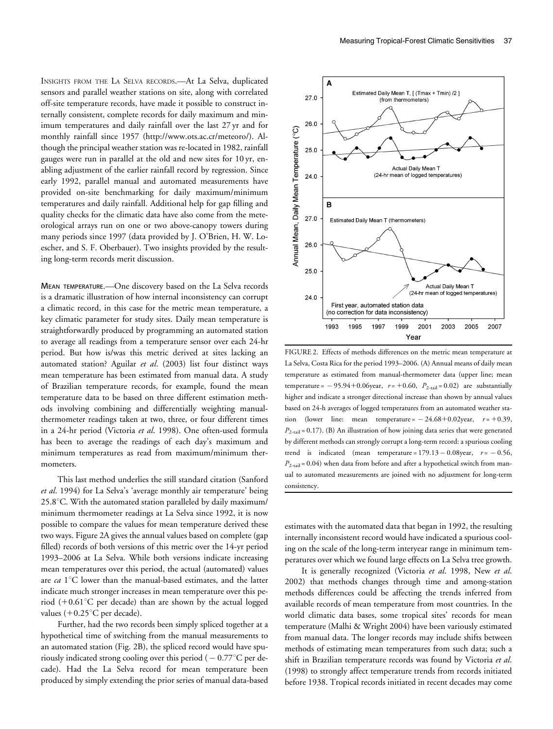INSIGHTS FROM THE LA SELVA RECORDS.—At La Selva, duplicated sensors and parallel weather stations on site, along with correlated off-site temperature records, have made it possible to construct internally consistent, complete records for daily maximum and minimum temperatures and daily rainfall over the last 27 yr and for monthly rainfall since 1957 [\(http://www.ots.ac.cr/meteoro/](http://www.ots.ac.cr/meteoro/)). Although the principal weather station was re-located in 1982, rainfall gauges were run in parallel at the old and new sites for 10 yr, enabling adjustment of the earlier rainfall record by regression. Since early 1992, parallel manual and automated measurements have provided on-site benchmarking for daily maximum/minimum temperatures and daily rainfall. Additional help for gap filling and quality checks for the climatic data have also come from the meteorological arrays run on one or two above-canopy towers during many periods since 1997 (data provided by J. O'Brien, H. W. Loescher, and S. F. Oberbauer). Two insights provided by the resulting long-term records merit discussion.

MEAN TEMPERATURE.—One discovery based on the La Selva records is a dramatic illustration of how internal inconsistency can corrupt a climatic record, in this case for the metric mean temperature, a key climatic parameter for study sites. Daily mean temperature is straightforwardly produced by programming an automated station to average all readings from a temperature sensor over each 24-hr period. But how is/was this metric derived at sites lacking an automated station? Aguilar et al. (2003) list four distinct ways mean temperature has been estimated from manual data. A study of Brazilian temperature records, for example, found the mean temperature data to be based on three different estimation methods involving combining and differentially weighting manualthermometer readings taken at two, three, or four different times in a 24-hr period (Victoria et al. 1998). One often-used formula has been to average the readings of each day's maximum and minimum temperatures as read from maximum/minimum thermometers.

This last method underlies the still standard citation (Sanford et al. 1994) for La Selva's 'average monthly air temperature' being  $25.8^{\circ}$ C. With the automated station paralleled by daily maximum/ minimum thermometer readings at La Selva since 1992, it is now possible to compare the values for mean temperature derived these two ways. Figure 2A gives the annual values based on complete (gap filled) records of both versions of this metric over the 14-yr period 1993–2006 at La Selva. While both versions indicate increasing mean temperatures over this period, the actual (automated) values are  $ca$  1 $\mathrm{C}$  lower than the manual-based estimates, and the latter indicate much stronger increases in mean temperature over this period  $(+0.61^{\circ}C$  per decade) than are shown by the actual logged values  $(+0.25^{\circ}C$  per decade).

Further, had the two records been simply spliced together at a hypothetical time of switching from the manual measurements to an automated station (Fig. 2B), the spliced record would have spuriously indicated strong cooling over this period (  $-$  0.77 $^{\circ}$ C per decade). Had the La Selva record for mean temperature been produced by simply extending the prior series of manual data-based



FIGURE 2. Effects of methods differences on the metric mean temperature at La Selva, Costa Rica for the period 1993–2006. (A) Annual means of daily mean temperature as estimated from manual-thermometer data (upper line; mean temperature =  $-95.94+0.06$ year,  $r = +0.60$ ,  $P_{2\text{-tail}} = 0.02$ ) are substantially higher and indicate a stronger directional increase than shown by annual values based on 24-h averages of logged temperatures from an automated weather station (lower line: mean temperature =  $-24.68+0.02$ year,  $r = +0.39$ ,  $P_{2\text{-tail}} = 0.17$ ). (B) An illustration of how joining data series that were generated by different methods can strongly corrupt a long-term record: a spurious cooling trend is indicated (mean temperature =  $179.13 - 0.08$ year,  $r = -0.56$ ,  $P_{2\text{-tail}} = 0.04$ ) when data from before and after a hypothetical switch from manual to automated measurements are joined with no adjustment for long-term consistency.

estimates with the automated data that began in 1992, the resulting internally inconsistent record would have indicated a spurious cooling on the scale of the long-term interyear range in minimum temperatures over which we found large effects on La Selva tree growth.

It is generally recognized (Victoria et al. 1998, New et al. 2002) that methods changes through time and among-station methods differences could be affecting the trends inferred from available records of mean temperature from most countries. In the world climatic data bases, some tropical sites' records for mean temperature (Malhi & Wright 2004) have been variously estimated from manual data. The longer records may include shifts between methods of estimating mean temperatures from such data; such a shift in Brazilian temperature records was found by Victoria et al. (1998) to strongly affect temperature trends from records initiated before 1938. Tropical records initiated in recent decades may come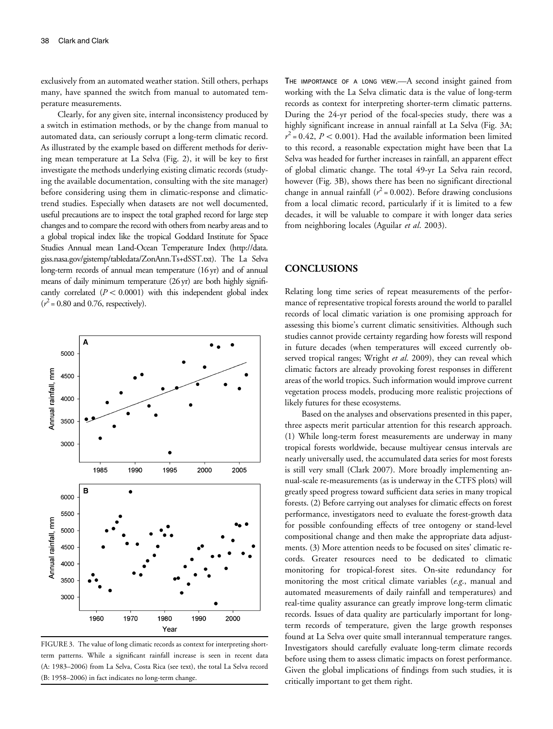exclusively from an automated weather station. Still others, perhaps many, have spanned the switch from manual to automated temperature measurements.

Clearly, for any given site, internal inconsistency produced by a switch in estimation methods, or by the change from manual to automated data, can seriously corrupt a long-term climatic record. As illustrated by the example based on different methods for deriving mean temperature at La Selva (Fig. 2), it will be key to first investigate the methods underlying existing climatic records (studying the available documentation, consulting with the site manager) before considering using them in climatic-response and climatictrend studies. Especially when datasets are not well documented, useful precautions are to inspect the total graphed record for large step changes and to compare the record with others from nearby areas and to a global tropical index like the tropical Goddard Institute for Space Studies Annual mean Land-Ocean Temperature Index [\(http://data.](http://data.giss.nasa.gov/gistemp/tabledata/ZonAnn.Ts+dSST.txt) [giss.nasa.gov/gistemp/tabledata/ZonAnn.Ts+dSST.txt](http://data.giss.nasa.gov/gistemp/tabledata/ZonAnn.Ts+dSST.txt)). The La Selva long-term records of annual mean temperature (16 yr) and of annual means of daily minimum temperature (26 yr) are both highly significantly correlated  $(P < 0.0001)$  with this independent global index  $(r^2 = 0.80$  and 0.76, respectively).



FIGURE 3. The value of long climatic records as context for interpreting shortterm patterns. While a significant rainfall increase is seen in recent data (A: 1983–2006) from La Selva, Costa Rica (see text), the total La Selva record (B: 1958–2006) in fact indicates no long-term change.

THE IMPORTANCE OF A LONG VIEW.—A second insight gained from working with the La Selva climatic data is the value of long-term records as context for interpreting shorter-term climatic patterns. During the 24-yr period of the focal-species study, there was a highly significant increase in annual rainfall at La Selva (Fig. 3A;  $r^2$  = 0.42,  $P$  < 0.001). Had the available information been limited to this record, a reasonable expectation might have been that La Selva was headed for further increases in rainfall, an apparent effect of global climatic change. The total 49-yr La Selva rain record, however (Fig. 3B), shows there has been no significant directional change in annual rainfall ( $r^2$  = 0.002). Before drawing conclusions from a local climatic record, particularly if it is limited to a few decades, it will be valuable to compare it with longer data series from neighboring locales (Aguilar et al. 2003).

### **CONCLUSIONS**

Relating long time series of repeat measurements of the performance of representative tropical forests around the world to parallel records of local climatic variation is one promising approach for assessing this biome's current climatic sensitivities. Although such studies cannot provide certainty regarding how forests will respond in future decades (when temperatures will exceed currently observed tropical ranges; Wright et al. 2009), they can reveal which climatic factors are already provoking forest responses in different areas of the world tropics. Such information would improve current vegetation process models, producing more realistic projections of likely futures for these ecosystems.

Based on the analyses and observations presented in this paper, three aspects merit particular attention for this research approach. (1) While long-term forest measurements are underway in many tropical forests worldwide, because multiyear census intervals are nearly universally used, the accumulated data series for most forests is still very small (Clark 2007). More broadly implementing annual-scale re-measurements (as is underway in the CTFS plots) will greatly speed progress toward sufficient data series in many tropical forests. (2) Before carrying out analyses for climatic effects on forest performance, investigators need to evaluate the forest-growth data for possible confounding effects of tree ontogeny or stand-level compositional change and then make the appropriate data adjustments. (3) More attention needs to be focused on sites' climatic records. Greater resources need to be dedicated to climatic monitoring for tropical-forest sites. On-site redundancy for monitoring the most critical climate variables (e.g., manual and automated measurements of daily rainfall and temperatures) and real-time quality assurance can greatly improve long-term climatic records. Issues of data quality are particularly important for longterm records of temperature, given the large growth responses found at La Selva over quite small interannual temperature ranges. Investigators should carefully evaluate long-term climate records before using them to assess climatic impacts on forest performance. Given the global implications of findings from such studies, it is critically important to get them right.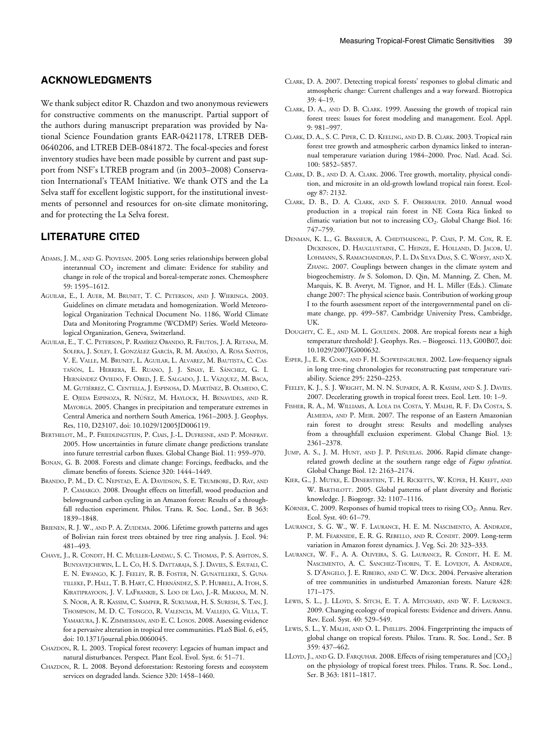# ACKNOWLEDGMENTS

We thank subject editor R. Chazdon and two anonymous reviewers for constructive comments on the manuscript. Partial support of the authors during manuscript preparation was provided by National Science Foundation grants EAR-0421178, LTREB DEB-0640206, and LTREB DEB-0841872. The focal-species and forest inventory studies have been made possible by current and past support from NSF's LTREB program and (in 2003–2008) Conservation International's TEAM Initiative. We thank OTS and the La Selva staff for excellent logistic support, for the institutional investments of personnel and resources for on-site climate monitoring, and for protecting the La Selva forest.

### LITERATURE CITED

- ADAMS, J. M., AND G. PIOVESAN. 2005. Long series relationships between global interannual CO<sub>2</sub> increment and climate: Evidence for stability and change in role of the tropical and boreal-temperate zones. Chemosphere 59: 1595–1612.
- AGUILAR, E., I. AUER, M. BRUNET, T. C. PETERSON, AND J. WIERINGA. 2003. Guidelines on climate metadata and homogenization. World Meteorological Organization Technical Document No. 1186, World Climate Data and Monitoring Programme (WCDMP) Series. World Meteorological Organization, Geneva, Switzerland.
- AGUILAR, E., T. C. PETERSON, P. RAMÍREZ OBANDO, R. FRUTOS, J. A. RETANA, M. SOLERA, J. SOLEY, I. GONZÁLEZ GARCÍA, R. M. ARAÚJO, A. ROSA SANTOS, V. E. VALLE, M. BRUNET, L. AGUILAR, L. ALVAREZ, M. BAUTISTA, C. CAStañón, L. Herrera, E. Ruano, J. J. Sinay, E. Sánchez, G. I. HERNÁNDEZ OVIEDO, F. OBED, J. E. SALGADO, J. L. VÁZQUEZ, M. BACA, M. GUTIÉRREZ, C. CENTELLA, J. ESPINOSA, D. MARTÍNEZ, B. OLMEDO, C. E. OJEDA ESPINOZA, R. NÚÑEZ, M. HAYLOCK, H. BENAVIDES, AND R. MAYORGA. 2005. Changes in precipitation and temperature extremes in Central America and northern South America, 1961–2003. J. Geophys. Res, 110, D23107, doi: [10.1029/12005JD006119.](10.1029/12005JD006119)
- BERTHELOT, M., P. FRIEDLINGSTEIN, P. CIAIS, J.-L. DUFRESNE, AND P. MONFRAY. 2005. How uncertainties in future climate change predictions translate into future terrestrial carbon fluxes. Global Change Biol. 11: 959–970.
- BONAN, G. B. 2008. Forests and climate change: Forcings, feedbacks, and the climate benefits of forests. Science 320: 1444–1449.
- BRANDO, P. M., D. C. NEPSTAD, E. A. DAVIDSON, S. E. TRUMBORE, D. RAY, AND P. CAMARGO. 2008. Drought effects on litterfall, wood production and belowground carbon cycling in an Amazon forest: Results of a throughfall reduction experiment. Philos. Trans. R. Soc. Lond., Ser. B 363: 1839–1848.
- BRIENEN, R. J. W., AND P. A. ZUIDEMA. 2006. Lifetime growth patterns and ages of Bolivian rain forest trees obtained by tree ring analysis. J. Ecol. 94: 481–493.
- CHAVE, J., R. CONDIT, H. C. MULLER-LANDAU, S. C. THOMAS, P. S. ASHTON, S. BUNYAVEJCHEWIN, L. L. CO, H. S. DATTARAJA, S. J. DAVIES, S. ESUFALI, C. E. N. EWANGO, K. J. FEELEY, R. B. FOSTER, N. GUNATILLEKE, S. GUNA-TILLEKE, P. HALL, T. B. HART, C. HERNÁNDEZ, S. P. HUBBELL, A. ITOH, S. KIRATIPRAYOON, J. V. LAFRANKIE, S. LOO DE LAO, J.-R. MAKANA, M. N. S. NOOR, A. R. KASSIM, C. SAMPER, R. SUKUMAR, H. S. SURESH, S. TAN, J. THOMPSON, M. D. C. TONGCO, R. VALENCIA, M. VALLEJO, G. VILLA, T. YAMAKURA, J. K. ZIMMERMAN, AND E. C. LOSOS. 2008. Assessing evidence for a pervasive alteration in tropical tree communities. PLoS Biol. 6, e45, doi: [10.1371/journal.pbio.0060045.](10.1371/journal.pbio.0060045)
- CHAZDON, R. L. 2003. Tropical forest recovery: Legacies of human impact and natural disturbances. Perspect. Plant Ecol. Evol. Syst. 6: 51–71.
- CHAZDON, R. L. 2008. Beyond deforestation: Restoring forests and ecosystem services on degraded lands. Science 320: 1458–1460.
- CLARK, D. A. 2007. Detecting tropical forests' responses to global climatic and atmospheric change: Current challenges and a way forward. Biotropica 39: 4–19.
- CLARK, D. A., AND D. B. CLARK. 1999. Assessing the growth of tropical rain forest trees: Issues for forest modeling and management. Ecol. Appl. 9: 981–997.
- CLARK, D. A., S. C. PIPER, C. D. KEELING, AND D. B. CLARK. 2003. Tropical rain forest tree growth and atmospheric carbon dynamics linked to interannual temperature variation during 1984–2000. Proc. Natl. Acad. Sci. 100: 5852–5857.
- CLARK, D. B., AND D. A. CLARK. 2006. Tree growth, mortality, physical condition, and microsite in an old-growth lowland tropical rain forest. Ecology 87: 2132.
- CLARK, D. B., D. A. CLARK, AND S. F. OBERBAUER. 2010. Annual wood production in a tropical rain forest in NE Costa Rica linked to climatic variation but not to increasing CO<sub>2</sub>. Global Change Biol. 16: 747–759.
- DENMAN, K. L., G. BRASSEUR, A. CHIDTHAISONG, P. CIAIS, P. M. COX, R. E. DICKINSON, D. HAUGLUSTAINE, C. HEINZE, E. HOLLAND, D. JACOB, U. LOHMANN, S. RAMACHANDRAN, P. L. DA SILVA DIAS, S. C. WOFSY, AND X. ZHANG. 2007. Couplings between changes in the climate system and biogeochemistry. In S. Solomon, D. Qin, M. Manning, Z. Chen, M. Marquis, K. B. Averyt, M. Tignor, and H. L. Miller (Eds.). Climate change 2007: The physical science basis. Contribution of working group I to the fourth assessment report of the intergovernmental panel on climate change, pp. 499–587. Cambridge University Press, Cambridge, UK.
- DOUGHTY, C. E., AND M. L. GOULDEN. 2008. Are tropical forests near a high temperature threshold? J. Geophys. Res. – Biogeosci. 113, G00B07, doi: [10.1029/2007JG000632.](10.1029/2007JG000632)
- ESPER, J., E. R. COOK, AND F. H. SCHWEINGRUBER. 2002. Low-frequency signals in long tree-ring chronologies for reconstructing past temperature variability. Science 295: 2250–2253.
- FEELEY, K. J., S. J. WRIGHT, M. N. N. SUPARDI, A. R. KASSIM, AND S. J. DAVIES. 2007. Decelerating growth in tropical forest trees. Ecol. Lett. 10: 1–9.
- FISHER, R. A., M. WILLIAMS, A. LOLA DA COSTA, Y. MALHI, R. F. DA COSTA, S. ALMEIDA, AND P. MEIR. 2007. The response of an Eastern Amazonian rain forest to drought stress: Results and modelling analyses from a throughfall exclusion experiment. Global Change Biol. 13: 2361–2378.
- JUMP, A. S., J. M. HUNT, AND J. P. PEÑUELAS. 2006. Rapid climate changerelated growth decline at the southern range edge of Fagus sylvatica. Global Change Biol. 12: 2163–2174.
- KIER, G., J. MUTKE, E. DINERSTEIN, T. H. RICKETTS, W. KÜPER, H. KREFT, AND W. BARTHLOTT. 2005. Global patterns of plant diversity and floristic knowledge. J. Biogeogr. 32: 1107–1116.
- KÖRNER, C. 2009. Responses of humid tropical trees to rising CO<sub>2</sub>. Annu. Rev. Ecol. Syst. 40: 61–79.
- LAURANCE, S. G. W., W. F. LAURANCE, H. E. M. NASCIMENTO, A. ANDRADE, P. M. FEARNSIDE, E. R. G. REBELLO, AND R. CONDIT. 2009. Long-term variation in Amazon forest dynamics. J. Veg. Sci. 20: 323–333.
- LAURANCE, W. F., A. A. OLIVEIRA, S. G. LAURANCE, R. CONDIT, H. E. M. NASCIMENTO, A. C. SANCHEZ-THORIN, T. E. LOVEJOY, A. ANDRADE, S. D'ANGELO, J. E. RIBEIRO, AND C. W. DICK. 2004. Pervasive alteration of tree communities in undisturbed Amazonian forests. Nature 428: 171–175.
- LEWIS, S. L., J. LLOYD, S. SITCH, E. T. A. MITCHARD, AND W. F. LAURANCE. 2009. Changing ecology of tropical forests: Evidence and drivers. Annu. Rev. Ecol. Syst. 40: 529–549.
- LEWIS, S. L., Y. MALHI, AND O. L. PHILLIPS. 2004. Fingerprinting the impacts of global change on tropical forests. Philos. Trans. R. Soc. Lond., Ser. B 359: 437–462.
- LLOYD, J., AND G. D. FARQUHAR. 2008. Effects of rising temperatures and  $\rm [CO_2]$ on the physiology of tropical forest trees. Philos. Trans. R. Soc. Lond., Ser. B 363: 1811–1817.